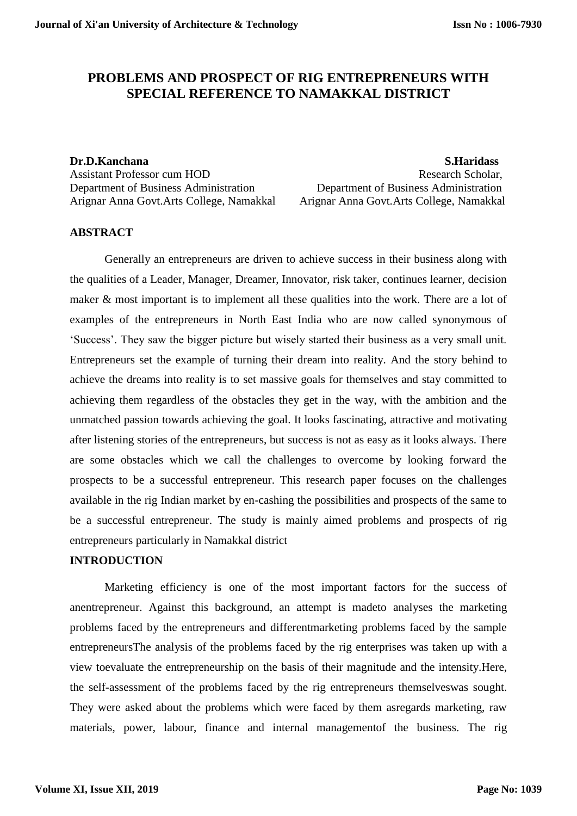# **PROBLEMS AND PROSPECT OF RIG ENTREPRENEURS WITH SPECIAL REFERENCE TO NAMAKKAL DISTRICT**

Department of Business Administration Department of Business Administration Arignar Anna Govt.Arts College, Namakkal Arignar Anna Govt.Arts College, Namakkal

**Dr.D.Kanchana S.Haridass** Assistant Professor cum HOD **Research Scholar, and Assistant Professor cum HOD** Research Scholar,

# **ABSTRACT**

Generally an entrepreneurs are driven to achieve success in their business along with the qualities of a Leader, Manager, Dreamer, Innovator, risk taker, continues learner, decision maker & most important is to implement all these qualities into the work. There are a lot of examples of the entrepreneurs in North East India who are now called synonymous of 'Success'. They saw the bigger picture but wisely started their business as a very small unit. Entrepreneurs set the example of turning their dream into reality. And the story behind to achieve the dreams into reality is to set massive goals for themselves and stay committed to achieving them regardless of the obstacles they get in the way, with the ambition and the unmatched passion towards achieving the goal. It looks fascinating, attractive and motivating after listening stories of the entrepreneurs, but success is not as easy as it looks always. There are some obstacles which we call the challenges to overcome by looking forward the prospects to be a successful entrepreneur. This research paper focuses on the challenges available in the rig Indian market by en-cashing the possibilities and prospects of the same to be a successful entrepreneur. The study is mainly aimed problems and prospects of rig entrepreneurs particularly in Namakkal district

## **INTRODUCTION**

Marketing efficiency is one of the most important factors for the success of anentrepreneur. Against this background, an attempt is madeto analyses the marketing problems faced by the entrepreneurs and differentmarketing problems faced by the sample entrepreneursThe analysis of the problems faced by the rig enterprises was taken up with a view toevaluate the entrepreneurship on the basis of their magnitude and the intensity.Here, the self-assessment of the problems faced by the rig entrepreneurs themselveswas sought. They were asked about the problems which were faced by them asregards marketing, raw materials, power, labour, finance and internal managementof the business. The rig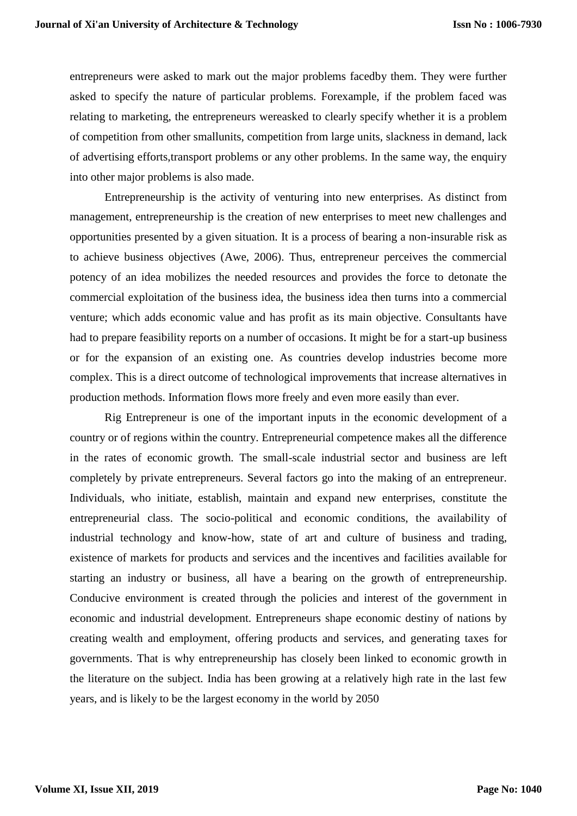entrepreneurs were asked to mark out the major problems facedby them. They were further asked to specify the nature of particular problems. Forexample, if the problem faced was relating to marketing, the entrepreneurs wereasked to clearly specify whether it is a problem of competition from other smallunits, competition from large units, slackness in demand, lack of advertising efforts,transport problems or any other problems. In the same way, the enquiry into other major problems is also made.

Entrepreneurship is the activity of venturing into new enterprises. As distinct from management, entrepreneurship is the creation of new enterprises to meet new challenges and opportunities presented by a given situation. It is a process of bearing a non-insurable risk as to achieve business objectives (Awe, 2006). Thus, entrepreneur perceives the commercial potency of an idea mobilizes the needed resources and provides the force to detonate the commercial exploitation of the business idea, the business idea then turns into a commercial venture; which adds economic value and has profit as its main objective. Consultants have had to prepare feasibility reports on a number of occasions. It might be for a start-up business or for the expansion of an existing one. As countries develop industries become more complex. This is a direct outcome of technological improvements that increase alternatives in production methods. Information flows more freely and even more easily than ever.

Rig Entrepreneur is one of the important inputs in the economic development of a country or of regions within the country. Entrepreneurial competence makes all the difference in the rates of economic growth. The small-scale industrial sector and business are left completely by private entrepreneurs. Several factors go into the making of an entrepreneur. Individuals, who initiate, establish, maintain and expand new enterprises, constitute the entrepreneurial class. The socio-political and economic conditions, the availability of industrial technology and know-how, state of art and culture of business and trading, existence of markets for products and services and the incentives and facilities available for starting an industry or business, all have a bearing on the growth of entrepreneurship. Conducive environment is created through the policies and interest of the government in economic and industrial development. Entrepreneurs shape economic destiny of nations by creating wealth and employment, offering products and services, and generating taxes for governments. That is why entrepreneurship has closely been linked to economic growth in the literature on the subject. India has been growing at a relatively high rate in the last few years, and is likely to be the largest economy in the world by 2050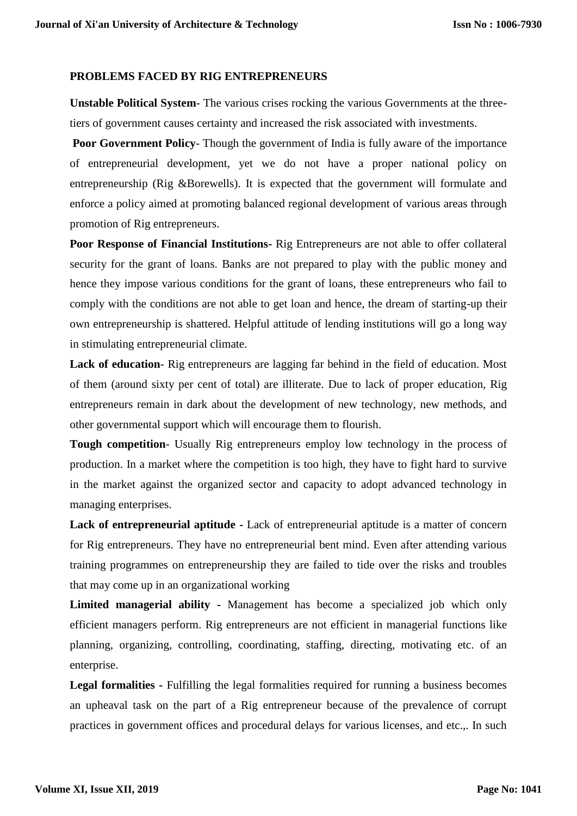#### **PROBLEMS FACED BY RIG ENTREPRENEURS**

**Unstable Political System**- The various crises rocking the various Governments at the threetiers of government causes certainty and increased the risk associated with investments.

**Poor Government Policy**- Though the government of India is fully aware of the importance of entrepreneurial development, yet we do not have a proper national policy on entrepreneurship (Rig &Borewells). It is expected that the government will formulate and enforce a policy aimed at promoting balanced regional development of various areas through promotion of Rig entrepreneurs.

**Poor Response of Financial Institutions-** Rig Entrepreneurs are not able to offer collateral security for the grant of loans. Banks are not prepared to play with the public money and hence they impose various conditions for the grant of loans, these entrepreneurs who fail to comply with the conditions are not able to get loan and hence, the dream of starting-up their own entrepreneurship is shattered. Helpful attitude of lending institutions will go a long way in stimulating entrepreneurial climate.

**Lack of education**- Rig entrepreneurs are lagging far behind in the field of education. Most of them (around sixty per cent of total) are illiterate. Due to lack of proper education, Rig entrepreneurs remain in dark about the development of new technology, new methods, and other governmental support which will encourage them to flourish.

**Tough competition**- Usually Rig entrepreneurs employ low technology in the process of production. In a market where the competition is too high, they have to fight hard to survive in the market against the organized sector and capacity to adopt advanced technology in managing enterprises.

**Lack of entrepreneurial aptitude -** Lack of entrepreneurial aptitude is a matter of concern for Rig entrepreneurs. They have no entrepreneurial bent mind. Even after attending various training programmes on entrepreneurship they are failed to tide over the risks and troubles that may come up in an organizational working

**Limited managerial ability -** Management has become a specialized job which only efficient managers perform. Rig entrepreneurs are not efficient in managerial functions like planning, organizing, controlling, coordinating, staffing, directing, motivating etc. of an enterprise.

**Legal formalities -** Fulfilling the legal formalities required for running a business becomes an upheaval task on the part of a Rig entrepreneur because of the prevalence of corrupt practices in government offices and procedural delays for various licenses, and etc.,. In such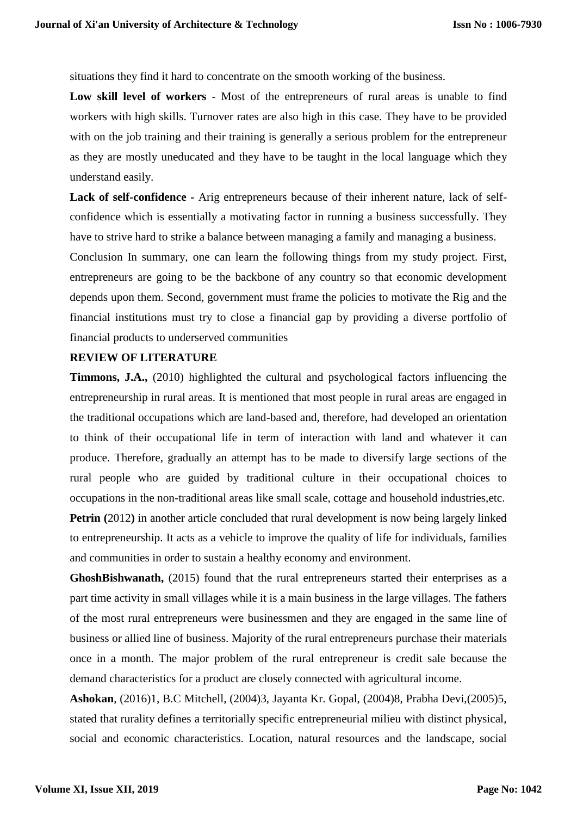situations they find it hard to concentrate on the smooth working of the business.

**Low skill level of workers** - Most of the entrepreneurs of rural areas is unable to find workers with high skills. Turnover rates are also high in this case. They have to be provided with on the job training and their training is generally a serious problem for the entrepreneur as they are mostly uneducated and they have to be taught in the local language which they understand easily.

**Lack of self-confidence -** Arig entrepreneurs because of their inherent nature, lack of selfconfidence which is essentially a motivating factor in running a business successfully. They have to strive hard to strike a balance between managing a family and managing a business.

Conclusion In summary, one can learn the following things from my study project. First, entrepreneurs are going to be the backbone of any country so that economic development depends upon them. Second, government must frame the policies to motivate the Rig and the financial institutions must try to close a financial gap by providing a diverse portfolio of financial products to underserved communities

## **REVIEW OF LITERATURE**

**Timmons, J.A.,** (2010) highlighted the cultural and psychological factors influencing the entrepreneurship in rural areas. It is mentioned that most people in rural areas are engaged in the traditional occupations which are land-based and, therefore, had developed an orientation to think of their occupational life in term of interaction with land and whatever it can produce. Therefore, gradually an attempt has to be made to diversify large sections of the rural people who are guided by traditional culture in their occupational choices to occupations in the non-traditional areas like small scale, cottage and household industries,etc.

**Petrin** (2012) in another article concluded that rural development is now being largely linked to entrepreneurship. It acts as a vehicle to improve the quality of life for individuals, families and communities in order to sustain a healthy economy and environment.

**GhoshBishwanath,** (2015) found that the rural entrepreneurs started their enterprises as a part time activity in small villages while it is a main business in the large villages. The fathers of the most rural entrepreneurs were businessmen and they are engaged in the same line of business or allied line of business. Majority of the rural entrepreneurs purchase their materials once in a month. The major problem of the rural entrepreneur is credit sale because the demand characteristics for a product are closely connected with agricultural income.

**Ashokan**, (2016)1, B.C Mitchell, (2004)3, Jayanta Kr. Gopal, (2004)8, Prabha Devi,(2005)5, stated that rurality defines a territorially specific entrepreneurial milieu with distinct physical, social and economic characteristics. Location, natural resources and the landscape, social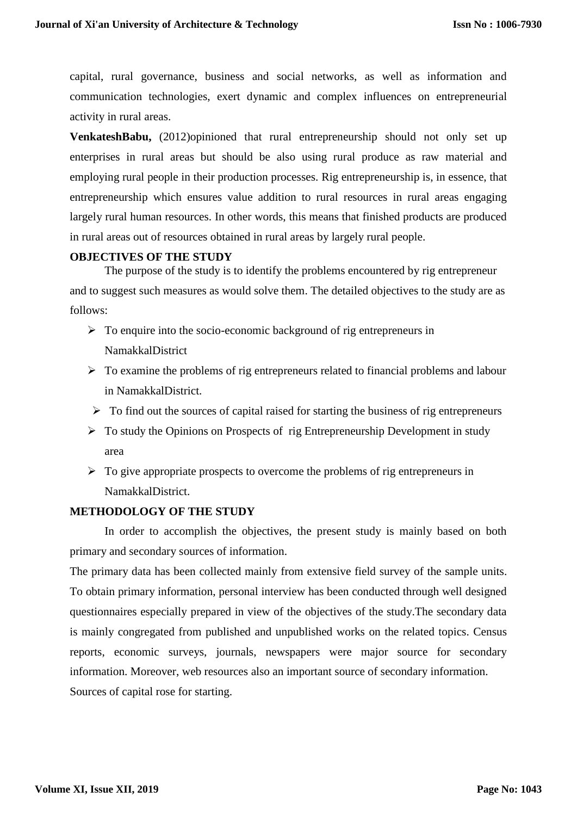capital, rural governance, business and social networks, as well as information and communication technologies, exert dynamic and complex influences on entrepreneurial activity in rural areas.

**VenkateshBabu,** (2012)opinioned that rural entrepreneurship should not only set up enterprises in rural areas but should be also using rural produce as raw material and employing rural people in their production processes. Rig entrepreneurship is, in essence, that entrepreneurship which ensures value addition to rural resources in rural areas engaging largely rural human resources. In other words, this means that finished products are produced in rural areas out of resources obtained in rural areas by largely rural people.

## **OBJECTIVES OF THE STUDY**

The purpose of the study is to identify the problems encountered by rig entrepreneur and to suggest such measures as would solve them. The detailed objectives to the study are as follows:

- $\triangleright$  To enquire into the socio-economic background of rig entrepreneurs in NamakkalDistrict
- $\triangleright$  To examine the problems of rig entrepreneurs related to financial problems and labour in NamakkalDistrict.
- $\triangleright$  To find out the sources of capital raised for starting the business of rig entrepreneurs
- $\triangleright$  To study the Opinions on Prospects of rig Entrepreneurship Development in study area
- $\triangleright$  To give appropriate prospects to overcome the problems of rig entrepreneurs in NamakkalDistrict.

# **METHODOLOGY OF THE STUDY**

In order to accomplish the objectives, the present study is mainly based on both primary and secondary sources of information.

The primary data has been collected mainly from extensive field survey of the sample units. To obtain primary information, personal interview has been conducted through well designed questionnaires especially prepared in view of the objectives of the study.The secondary data is mainly congregated from published and unpublished works on the related topics. Census reports, economic surveys, journals, newspapers were major source for secondary information. Moreover, web resources also an important source of secondary information. Sources of capital rose for starting.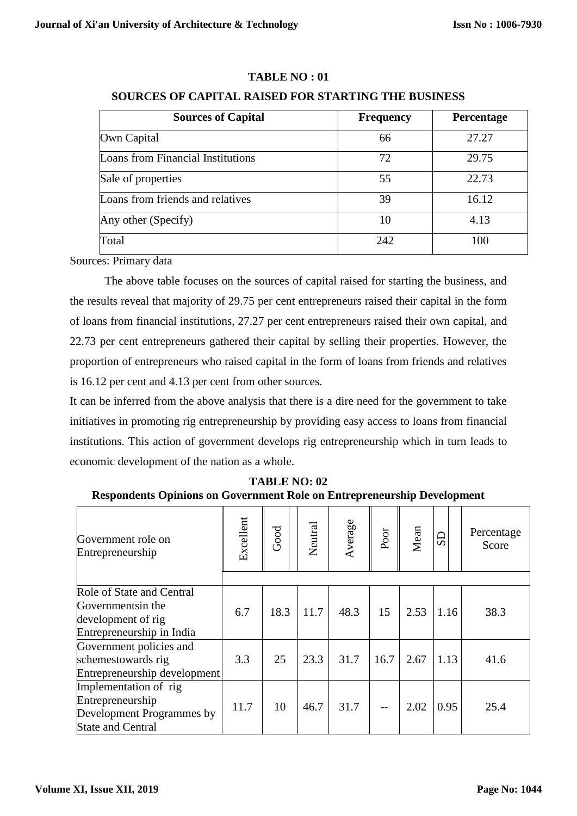# **TABLE NO : 01**

# **SOURCES OF CAPITAL RAISED FOR STARTING THE BUSINESS**

| <b>Sources of Capital</b>         | <b>Frequency</b> | <b>Percentage</b> |  |  |
|-----------------------------------|------------------|-------------------|--|--|
| Own Capital                       | 66               | 27.27             |  |  |
| Loans from Financial Institutions | 72               | 29.75             |  |  |
| Sale of properties                | 55               | 22.73             |  |  |
| Loans from friends and relatives  | 39               | 16.12             |  |  |
| Any other (Specify)               | 10               | 4.13              |  |  |
| Total                             | 242              | 100               |  |  |

Sources: Primary data

The above table focuses on the sources of capital raised for starting the business, and the results reveal that majority of 29.75 per cent entrepreneurs raised their capital in the form of loans from financial institutions, 27.27 per cent entrepreneurs raised their own capital, and 22.73 per cent entrepreneurs gathered their capital by selling their properties. However, the proportion of entrepreneurs who raised capital in the form of loans from friends and relatives is 16.12 per cent and 4.13 per cent from other sources.

It can be inferred from the above analysis that there is a dire need for the government to take initiatives in promoting rig entrepreneurship by providing easy access to loans from financial institutions. This action of government develops rig entrepreneurship which in turn leads to economic development of the nation as a whole.

| Government role on<br>Entrepreneurship                                                             | Excellent | Good | Neutral | Average | Poor | Mean | $_{\rm{SD}}$ | Percentage<br>Score |
|----------------------------------------------------------------------------------------------------|-----------|------|---------|---------|------|------|--------------|---------------------|
| Role of State and Central<br>Governmentsin the<br>development of rig<br>Entrepreneurship in India  | 6.7       | 18.3 | 11.7    | 48.3    | 15   | 2.53 | 1.16         | 38.3                |
| Government policies and<br>schemestowards rig<br>Entrepreneurship development                      | 3.3       | 25   | 23.3    | 31.7    | 16.7 | 2.67 | 1.13         | 41.6                |
| Implementation of rig<br>Entrepreneurship<br>Development Programmes by<br><b>State and Central</b> | 11.7      | 10   | 46.7    | 31.7    |      | 2.02 | 0.95         | 25.4                |

**TABLE NO: 02 Respondents Opinions on Government Role on Entrepreneurship Development**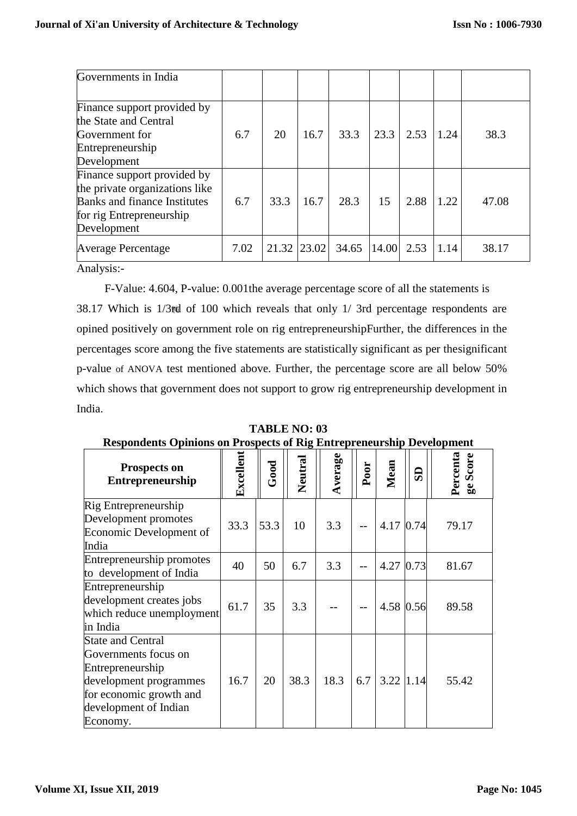| Governments in India                                                                                                                            |      |             |      |       |       |      |      |       |
|-------------------------------------------------------------------------------------------------------------------------------------------------|------|-------------|------|-------|-------|------|------|-------|
| Finance support provided by<br>the State and Central<br>Government for<br>Entrepreneurship<br>Development                                       | 6.7  | 20          | 16.7 | 33.3  | 23.3  | 2.53 | 1.24 | 38.3  |
| Finance support provided by<br>the private organizations like<br><b>Banks and finance Institutes</b><br>for rig Entrepreneurship<br>Development | 6.7  | 33.3        | 16.7 | 28.3  | 15    | 2.88 | 1.22 | 47.08 |
| Average Percentage                                                                                                                              | 7.02 | 21.32 23.02 |      | 34.65 | 14.00 | 2.53 | 1.14 | 38.17 |

Analysis:-

F-Value: 4.604, P-value: 0.001the average percentage score of all the statements is 38.17 Which is 1/3rd of 100 which reveals that only 1/ 3rd percentage respondents are opined positively on government role on rig entrepreneurshipFurther, the differences in the percentages score among the five statements are statistically significant as per thesignificant p-value of ANOVA test mentioned above. Further, the percentage score are all below 50% which shows that government does not support to grow rig entrepreneurship development in India.

**TABLE NO: 03**

| respondents Opinions on Frospects of Fug Emergencieship Development                                                                                            |           |      |         |         |      |           |      |                      |
|----------------------------------------------------------------------------------------------------------------------------------------------------------------|-----------|------|---------|---------|------|-----------|------|----------------------|
| Prospects on<br><b>Entrepreneurship</b>                                                                                                                        | Excellent | Good | Neutral | Average | Poor | Mean      | æ    | Percenta<br>ge Score |
| Rig Entrepreneurship<br>Development promotes<br>Economic Development of<br>India                                                                               | 33.3      | 53.3 | 10      | 3.3     |      | 4.17      | 0.74 | 79.17                |
| Entrepreneurship promotes<br>to development of India                                                                                                           | 40        | 50   | 6.7     | 3.3     |      | 4.27      | 0.73 | 81.67                |
| Entrepreneurship<br>development creates jobs<br>which reduce unemployment<br>in India                                                                          | 61.7      | 35   | 3.3     |         |      | 4.58      | 0.56 | 89.58                |
| <b>State and Central</b><br>Governments focus on<br>Entrepreneurship<br>development programmes<br>for economic growth and<br>development of Indian<br>Economy. | 16.7      | 20   | 38.3    | 18.3    | 6.7  | 3.22 1.14 |      | 55.42                |

**Respondents Opinions on Prospects of Rig Entrepreneurship Development**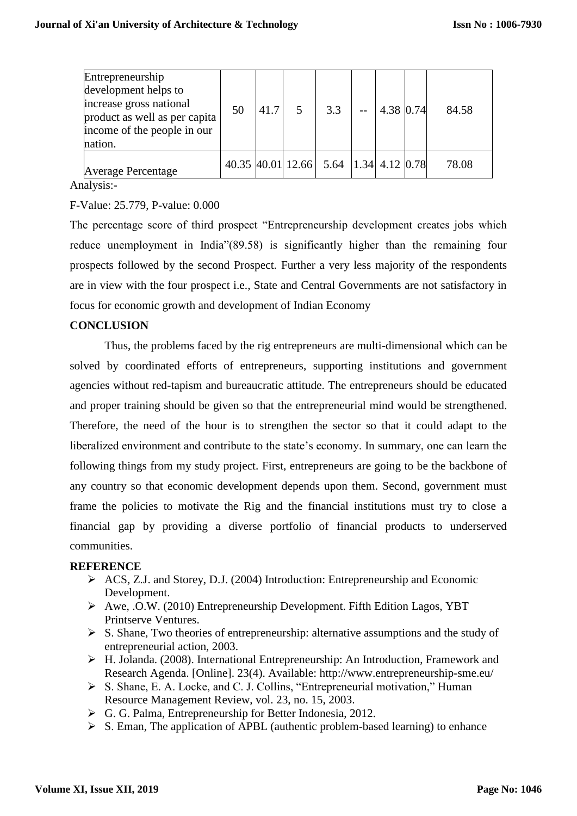| Entrepreneurship<br>development helps to<br>increase gross national<br>product as well as per capita<br>income of the people in our<br>nation. | 50 | 41.7 | 5 <sup>5</sup> | 3.3                                   | 4.38 0.74 | 84.58 |
|------------------------------------------------------------------------------------------------------------------------------------------------|----|------|----------------|---------------------------------------|-----------|-------|
| <b>Average Percentage</b>                                                                                                                      |    |      |                | 40.35 40.01 12.66 5.64 1.34 4.12 0.78 |           | 78.08 |

Analysis:-

# F-Value: 25.779, P-value: 0.000

The percentage score of third prospect "Entrepreneurship development creates jobs which reduce unemployment in India"(89.58) is significantly higher than the remaining four prospects followed by the second Prospect. Further a very less majority of the respondents are in view with the four prospect i.e., State and Central Governments are not satisfactory in focus for economic growth and development of Indian Economy

# **CONCLUSION**

Thus, the problems faced by the rig entrepreneurs are multi-dimensional which can be solved by coordinated efforts of entrepreneurs, supporting institutions and government agencies without red-tapism and bureaucratic attitude. The entrepreneurs should be educated and proper training should be given so that the entrepreneurial mind would be strengthened. Therefore, the need of the hour is to strengthen the sector so that it could adapt to the liberalized environment and contribute to the state's economy. In summary, one can learn the following things from my study project. First, entrepreneurs are going to be the backbone of any country so that economic development depends upon them. Second, government must frame the policies to motivate the Rig and the financial institutions must try to close a financial gap by providing a diverse portfolio of financial products to underserved communities.

## **REFERENCE**

- ACS, Z.J. and Storey, D.J. (2004) Introduction: Entrepreneurship and Economic Development.
- Awe, .O.W. (2010) Entrepreneurship Development. Fifth Edition Lagos, YBT Printserve Ventures.
- $\triangleright$  S. Shane, Two theories of entrepreneurship: alternative assumptions and the study of entrepreneurial action, 2003.
- H. Jolanda. (2008). International Entrepreneurship: An Introduction, Framework and Research Agenda. [Online]. 23(4). Available: http://www.entrepreneurship-sme.eu/
- S. Shane, E. A. Locke, and C. J. Collins, "Entrepreneurial motivation," Human Resource Management Review, vol. 23, no. 15, 2003.
- G. G. Palma, Entrepreneurship for Better Indonesia, 2012.
- $\triangleright$  S. Eman, The application of APBL (authentic problem-based learning) to enhance